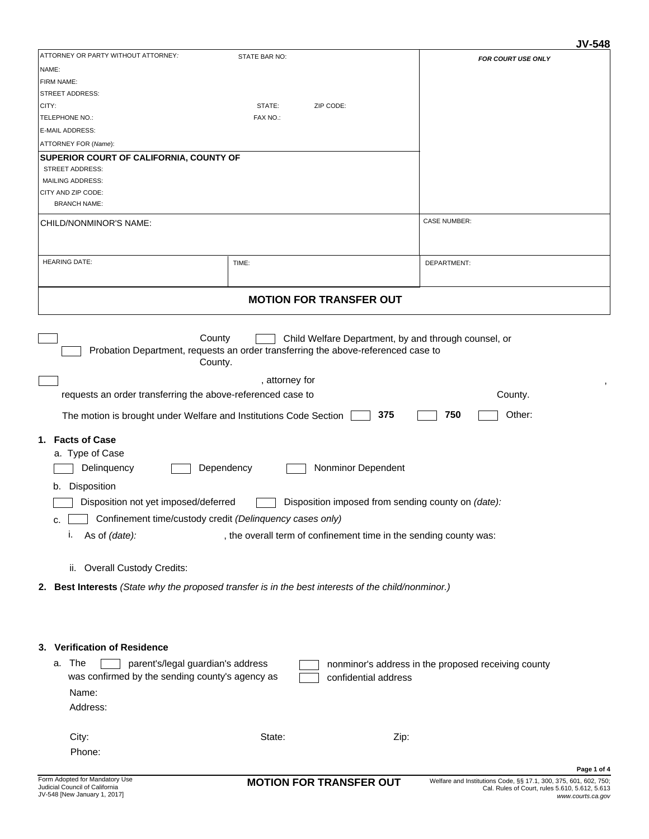## **JV-548**

| ATTORNEY OR PARTY WITHOUT ATTORNEY:                                                                 | STATE BAR NO:                                                                     | FOR COURT USE ONLY                                  |  |  |
|-----------------------------------------------------------------------------------------------------|-----------------------------------------------------------------------------------|-----------------------------------------------------|--|--|
| NAME:                                                                                               |                                                                                   |                                                     |  |  |
| FIRM NAME:                                                                                          |                                                                                   |                                                     |  |  |
| STREET ADDRESS:                                                                                     |                                                                                   |                                                     |  |  |
| CITY:                                                                                               | STATE:<br>ZIP CODE:                                                               |                                                     |  |  |
| TELEPHONE NO.:                                                                                      | FAX NO.:                                                                          |                                                     |  |  |
| E-MAIL ADDRESS:                                                                                     |                                                                                   |                                                     |  |  |
| ATTORNEY FOR (Name):                                                                                |                                                                                   |                                                     |  |  |
| SUPERIOR COURT OF CALIFORNIA, COUNTY OF                                                             |                                                                                   |                                                     |  |  |
| <b>STREET ADDRESS:</b>                                                                              |                                                                                   |                                                     |  |  |
| MAILING ADDRESS:                                                                                    |                                                                                   |                                                     |  |  |
| CITY AND ZIP CODE:                                                                                  |                                                                                   |                                                     |  |  |
| <b>BRANCH NAME:</b>                                                                                 |                                                                                   |                                                     |  |  |
| CHILD/NONMINOR'S NAME:                                                                              |                                                                                   | <b>CASE NUMBER:</b>                                 |  |  |
|                                                                                                     |                                                                                   |                                                     |  |  |
|                                                                                                     |                                                                                   |                                                     |  |  |
| <b>HEARING DATE:</b>                                                                                | TIME:                                                                             | DEPARTMENT:                                         |  |  |
|                                                                                                     |                                                                                   |                                                     |  |  |
|                                                                                                     |                                                                                   |                                                     |  |  |
|                                                                                                     | <b>MOTION FOR TRANSFER OUT</b>                                                    |                                                     |  |  |
|                                                                                                     |                                                                                   |                                                     |  |  |
|                                                                                                     |                                                                                   |                                                     |  |  |
| County                                                                                              | Child Welfare Department, by and through counsel, or                              |                                                     |  |  |
|                                                                                                     | Probation Department, requests an order transferring the above-referenced case to |                                                     |  |  |
| County.                                                                                             |                                                                                   |                                                     |  |  |
|                                                                                                     | , attorney for                                                                    |                                                     |  |  |
| requests an order transferring the above-referenced case to                                         |                                                                                   | County.                                             |  |  |
|                                                                                                     |                                                                                   |                                                     |  |  |
| The motion is brought under Welfare and Institutions Code Section                                   | 375                                                                               | 750<br>Other:                                       |  |  |
|                                                                                                     |                                                                                   |                                                     |  |  |
| 1. Facts of Case                                                                                    |                                                                                   |                                                     |  |  |
| a. Type of Case                                                                                     |                                                                                   |                                                     |  |  |
| Dependency<br>Nonminor Dependent<br>Delinquency                                                     |                                                                                   |                                                     |  |  |
| Disposition<br>b.                                                                                   |                                                                                   |                                                     |  |  |
|                                                                                                     |                                                                                   |                                                     |  |  |
| Disposition not yet imposed/deferred<br>Disposition imposed from sending county on (date):          |                                                                                   |                                                     |  |  |
| Confinement time/custody credit (Delinquency cases only)<br>с                                       |                                                                                   |                                                     |  |  |
| , the overall term of confinement time in the sending county was:<br>۱.<br>As of (date):            |                                                                                   |                                                     |  |  |
|                                                                                                     |                                                                                   |                                                     |  |  |
|                                                                                                     |                                                                                   |                                                     |  |  |
| ii. Overall Custody Credits:                                                                        |                                                                                   |                                                     |  |  |
| 2. Best Interests (State why the proposed transfer is in the best interests of the child/nonminor.) |                                                                                   |                                                     |  |  |
|                                                                                                     |                                                                                   |                                                     |  |  |
|                                                                                                     |                                                                                   |                                                     |  |  |
|                                                                                                     |                                                                                   |                                                     |  |  |
| <b>Verification of Residence</b>                                                                    |                                                                                   |                                                     |  |  |
| 3.                                                                                                  |                                                                                   |                                                     |  |  |
| a. The<br>parent's/legal guardian's address                                                         |                                                                                   | nonminor's address in the proposed receiving county |  |  |
| was confirmed by the sending county's agency as                                                     | confidential address                                                              |                                                     |  |  |
| Name:                                                                                               |                                                                                   |                                                     |  |  |
| Address:                                                                                            |                                                                                   |                                                     |  |  |
|                                                                                                     |                                                                                   |                                                     |  |  |
|                                                                                                     |                                                                                   |                                                     |  |  |
| City:                                                                                               | State:<br>Zip:                                                                    |                                                     |  |  |
| Phone:                                                                                              |                                                                                   |                                                     |  |  |
|                                                                                                     |                                                                                   | Page 1 of 4                                         |  |  |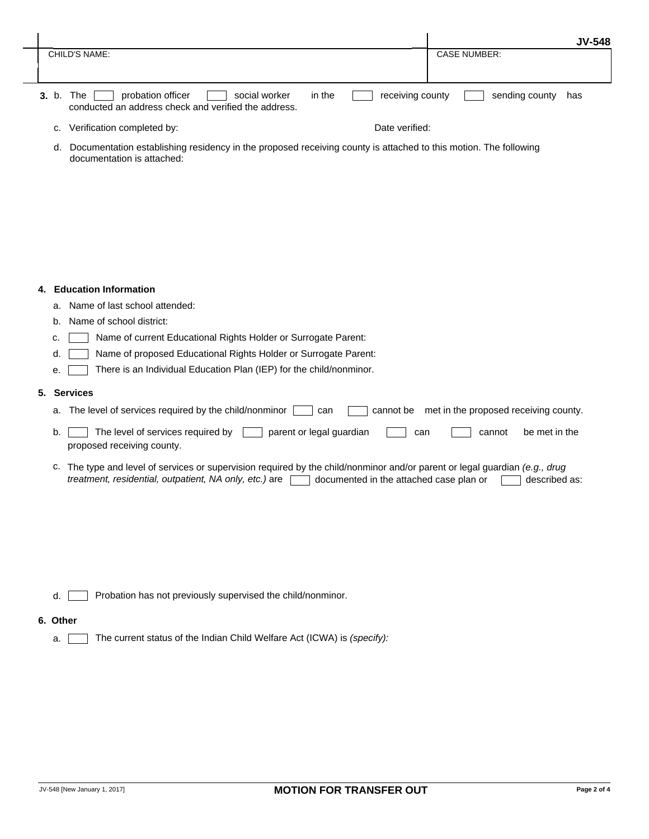|                                                                                                                                                 | <b>JV-548</b>         |
|-------------------------------------------------------------------------------------------------------------------------------------------------|-----------------------|
| CHILD'S NAME:                                                                                                                                   | <b>CASE NUMBER:</b>   |
|                                                                                                                                                 |                       |
| receiving county<br>social worker<br>in the<br>probation officer<br>The<br><b>3.</b> b.<br>conducted an address check and verified the address. | sending county<br>has |
| Verification completed by:<br>Date verified:<br>c.                                                                                              |                       |

d. Documentation establishing residency in the proposed receiving county is attached to this motion. The following documentation is attached:

## **4. Education Information**

- a. Name of last school attended:
- b. Name of school district:
- c. **Name of current Educational Rights Holder or Surrogate Parent:**
- d. **Name of proposed Educational Rights Holder or Surrogate Parent:**
- e. There is an Individual Education Plan (IEP) for the child/nonminor.

## **5. Services**

- a. The level of services required by the child/nonminor  $\Box$  can  $\Box$  cannot be met in the proposed receiving county.
- b.  $\Box$  The level of services required by  $\Box$  parent or legal guardian  $\Box$  can  $\Box$  cannot be met in the proposed receiving county.
- c. The type and level of services or supervision required by the child/nonminor and/or parent or legal guardian *(e.g., drug treatment, residential, outpatient, NA only, etc.)* are <u>decumented in the attached case plan or described as:</u>

Probation has not previously supervised the child/nonminor. d.  $\lceil$ 

## **6. Other**

a. The current status of the Indian Child Welfare Act (ICWA) is *(specify):*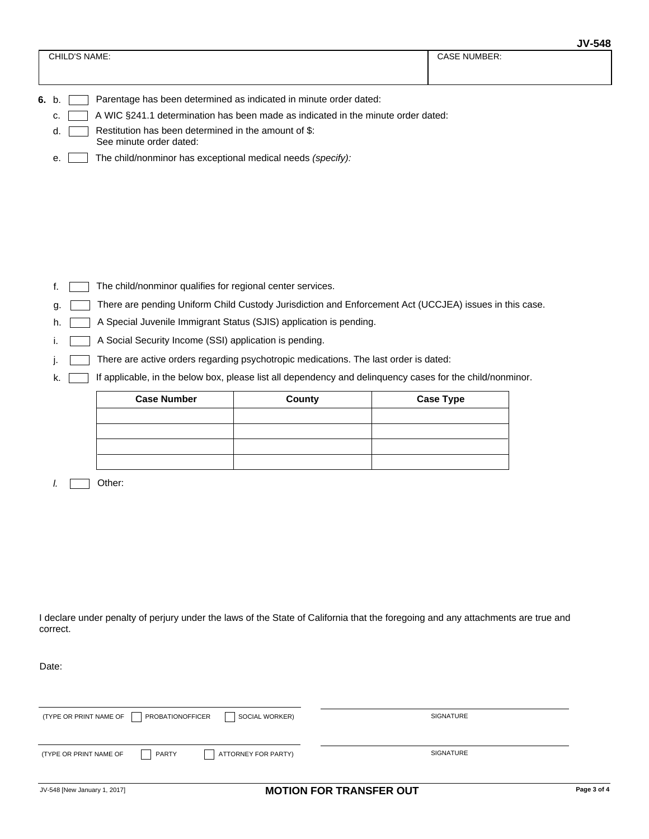|                                                                                        | JV-340              |  |  |
|----------------------------------------------------------------------------------------|---------------------|--|--|
| CHILD'S NAME:                                                                          | <b>CASE NUMBER:</b> |  |  |
|                                                                                        |                     |  |  |
| Parentage has been determined as indicated in minute order dated:<br>6. b.             |                     |  |  |
| A WIC §241.1 determination has been made as indicated in the minute order dated:<br>C. |                     |  |  |
| Restitution has been determined in the amount of \$:<br>d.<br>See minute order dated:  |                     |  |  |

e. The child/nonminor has exceptional medical needs *(specify):* 

- f. The child/nonminor qualifies for regional center services.
- g. There are pending Uniform Child Custody Jurisdiction and Enforcement Act (UCCJEA) issues in this case.
- h. **A** Special Juvenile Immigrant Status (SJIS) application is pending.
- i. **A Social Security Income (SSI) application is pending.**
- j. There are active orders regarding psychotropic medications. The last order is dated:
- k. **If applicable, in the below box, please list all dependency and delinquency cases for the child/nonminor.**

| <b>Case Number</b> | <b>County</b> | <b>Case Type</b> |
|--------------------|---------------|------------------|
|                    |               |                  |
|                    |               |                  |
|                    |               |                  |
|                    |               |                  |

*l.* Other:

I declare under penalty of perjury under the laws of the State of California that the foregoing and any attachments are true and correct.

Date:

| (TYPE OR PRINT NAME OF<br>PROBATIONOFFICER<br>SOCIAL WORKER) | SIGNATURE        |
|--------------------------------------------------------------|------------------|
| PARTY<br>ATTORNEY FOR PARTY)<br>(TYPE OR PRINT NAME OF       | <b>SIGNATURE</b> |

**JV-548**